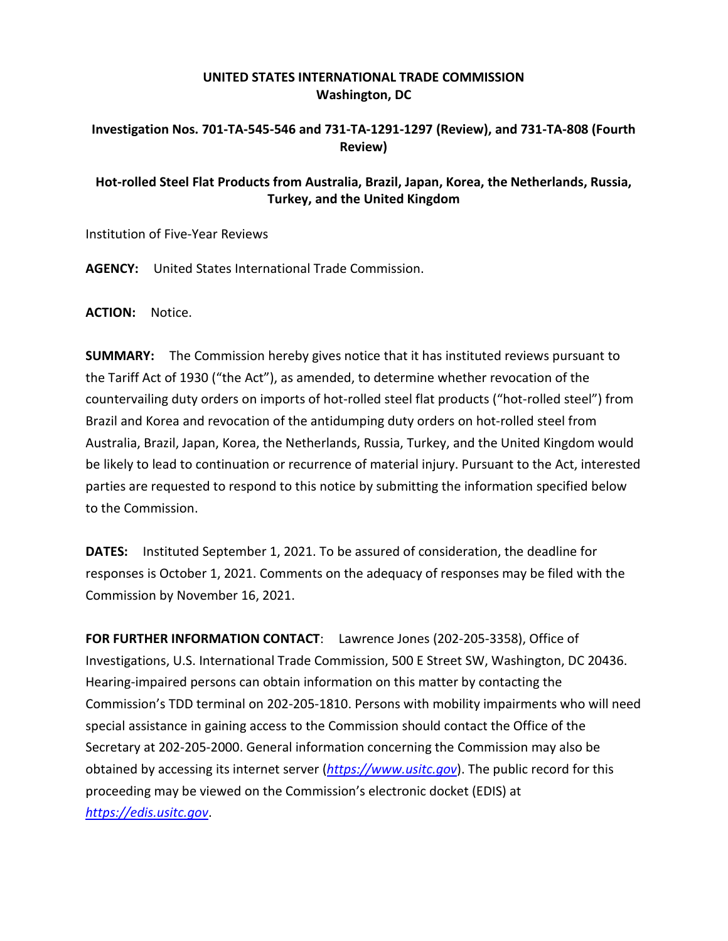## **UNITED STATES INTERNATIONAL TRADE COMMISSION Washington, DC**

## **Investigation Nos. 701-TA-545-546 and 731-TA-1291-1297 (Review), and 731-TA-808 (Fourth Review)**

## **Hot-rolled Steel Flat Products from Australia, Brazil, Japan, Korea, the Netherlands, Russia, Turkey, and the United Kingdom**

Institution of Five-Year Reviews

**AGENCY:** United States International Trade Commission.

**ACTION:** Notice.

**SUMMARY:** The Commission hereby gives notice that it has instituted reviews pursuant to the Tariff Act of 1930 ("the Act"), as amended, to determine whether revocation of the countervailing duty orders on imports of hot-rolled steel flat products ("hot-rolled steel") from Brazil and Korea and revocation of the antidumping duty orders on hot-rolled steel from Australia, Brazil, Japan, Korea, the Netherlands, Russia, Turkey, and the United Kingdom would be likely to lead to continuation or recurrence of material injury. Pursuant to the Act, interested parties are requested to respond to this notice by submitting the information specified below to the Commission.

**DATES:** Instituted September 1, 2021. To be assured of consideration, the deadline for responses is October 1, 2021. Comments on the adequacy of responses may be filed with the Commission by November 16, 2021.

**FOR FURTHER INFORMATION CONTACT**: Lawrence Jones (202-205-3358), Office of Investigations, U.S. International Trade Commission, 500 E Street SW, Washington, DC 20436. Hearing-impaired persons can obtain information on this matter by contacting the Commission's TDD terminal on 202-205-1810. Persons with mobility impairments who will need special assistance in gaining access to the Commission should contact the Office of the Secretary at 202-205-2000. General information concerning the Commission may also be obtained by accessing its internet server (*[https://www.usitc.gov](https://www.usitc.gov/)*). The public record for this proceeding may be viewed on the Commission's electronic docket (EDIS) at *[https://edis.usitc.gov](https://edis.usitc.gov/)*.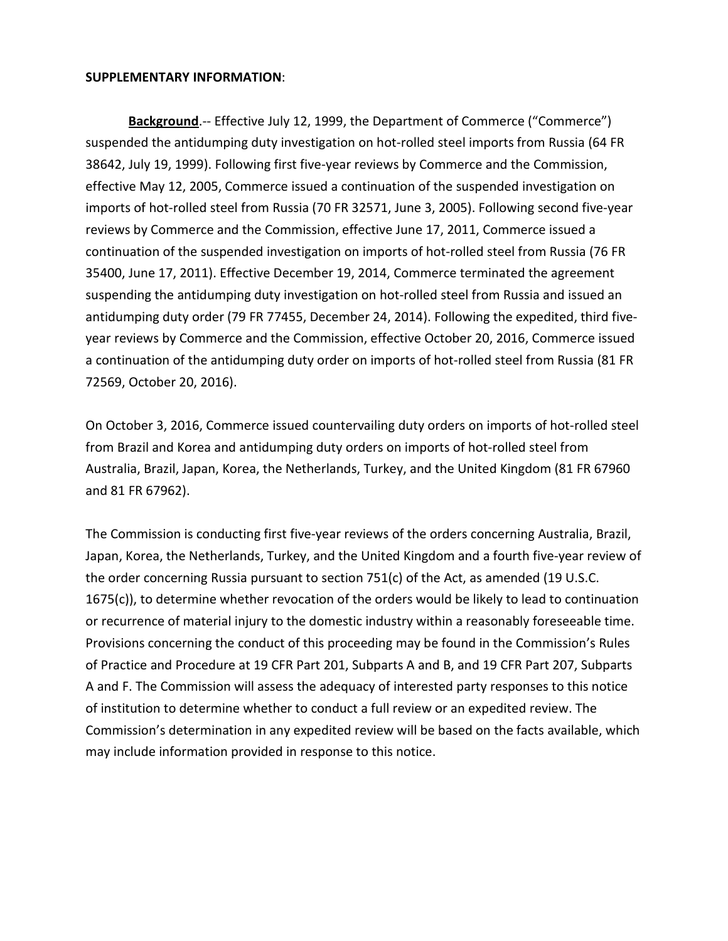## **SUPPLEMENTARY INFORMATION**:

Background.-- Effective July 12, 1999, the Department of Commerce ("Commerce") suspended the antidumping duty investigation on hot-rolled steel imports from Russia (64 FR 38642, July 19, 1999). Following first five-year reviews by Commerce and the Commission, effective May 12, 2005, Commerce issued a continuation of the suspended investigation on imports of hot-rolled steel from Russia (70 FR 32571, June 3, 2005). Following second five-year reviews by Commerce and the Commission, effective June 17, 2011, Commerce issued a continuation of the suspended investigation on imports of hot-rolled steel from Russia (76 FR 35400, June 17, 2011). Effective December 19, 2014, Commerce terminated the agreement suspending the antidumping duty investigation on hot-rolled steel from Russia and issued an antidumping duty order (79 FR 77455, December 24, 2014). Following the expedited, third fiveyear reviews by Commerce and the Commission, effective October 20, 2016, Commerce issued a continuation of the antidumping duty order on imports of hot-rolled steel from Russia (81 FR 72569, October 20, 2016).

On October 3, 2016, Commerce issued countervailing duty orders on imports of hot-rolled steel from Brazil and Korea and antidumping duty orders on imports of hot-rolled steel from Australia, Brazil, Japan, Korea, the Netherlands, Turkey, and the United Kingdom (81 FR 67960 and 81 FR 67962).

The Commission is conducting first five-year reviews of the orders concerning Australia, Brazil, Japan, Korea, the Netherlands, Turkey, and the United Kingdom and a fourth five-year review of the order concerning Russia pursuant to section 751(c) of the Act, as amended (19 U.S.C. 1675(c)), to determine whether revocation of the orders would be likely to lead to continuation or recurrence of material injury to the domestic industry within a reasonably foreseeable time. Provisions concerning the conduct of this proceeding may be found in the Commission's Rules of Practice and Procedure at 19 CFR Part 201, Subparts A and B, and 19 CFR Part 207, Subparts A and F. The Commission will assess the adequacy of interested party responses to this notice of institution to determine whether to conduct a full review or an expedited review. The Commission's determination in any expedited review will be based on the facts available, which may include information provided in response to this notice.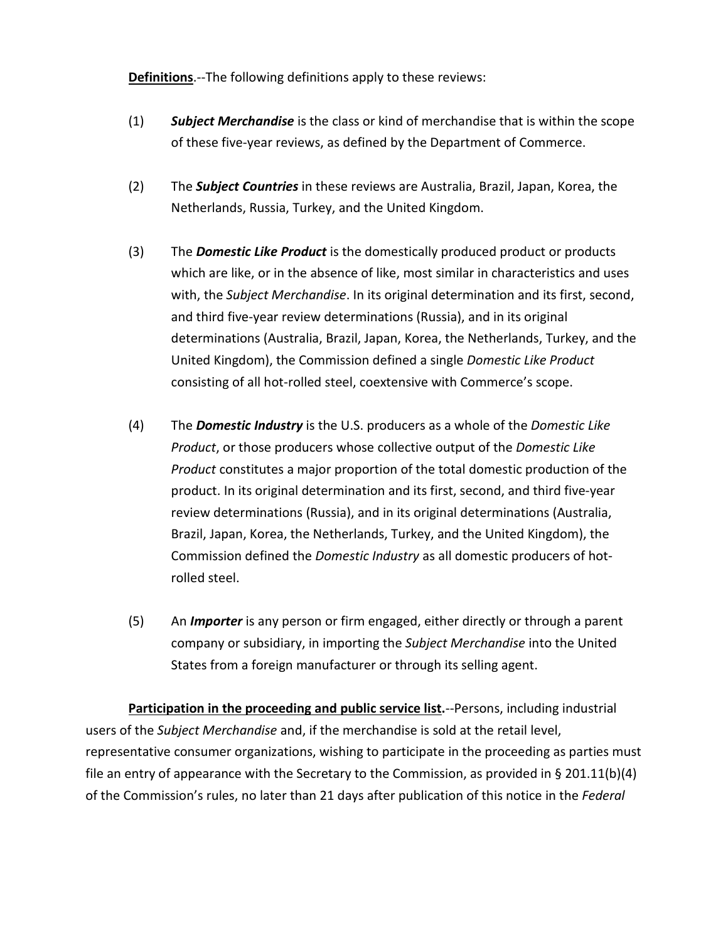**Definitions**.--The following definitions apply to these reviews:

- (1) *Subject Merchandise* is the class or kind of merchandise that is within the scope of these five-year reviews, as defined by the Department of Commerce.
- (2) The *Subject Countries* in these reviews are Australia, Brazil, Japan, Korea, the Netherlands, Russia, Turkey, and the United Kingdom.
- (3) The *Domestic Like Product* is the domestically produced product or products which are like, or in the absence of like, most similar in characteristics and uses with, the *Subject Merchandise*. In its original determination and its first, second, and third five-year review determinations (Russia), and in its original determinations (Australia, Brazil, Japan, Korea, the Netherlands, Turkey, and the United Kingdom), the Commission defined a single *Domestic Like Product* consisting of all hot-rolled steel, coextensive with Commerce's scope.
- (4) The *Domestic Industry* is the U.S. producers as a whole of the *Domestic Like Product*, or those producers whose collective output of the *Domestic Like Product* constitutes a major proportion of the total domestic production of the product. In its original determination and its first, second, and third five-year review determinations (Russia), and in its original determinations (Australia, Brazil, Japan, Korea, the Netherlands, Turkey, and the United Kingdom), the Commission defined the *Domestic Industry* as all domestic producers of hotrolled steel.
- (5) An *Importer* is any person or firm engaged, either directly or through a parent company or subsidiary, in importing the *Subject Merchandise* into the United States from a foreign manufacturer or through its selling agent.

**Participation in the proceeding and public service list.**--Persons, including industrial users of the *Subject Merchandise* and, if the merchandise is sold at the retail level, representative consumer organizations, wishing to participate in the proceeding as parties must file an entry of appearance with the Secretary to the Commission, as provided in § 201.11(b)(4) of the Commission's rules, no later than 21 days after publication of this notice in the *Federal*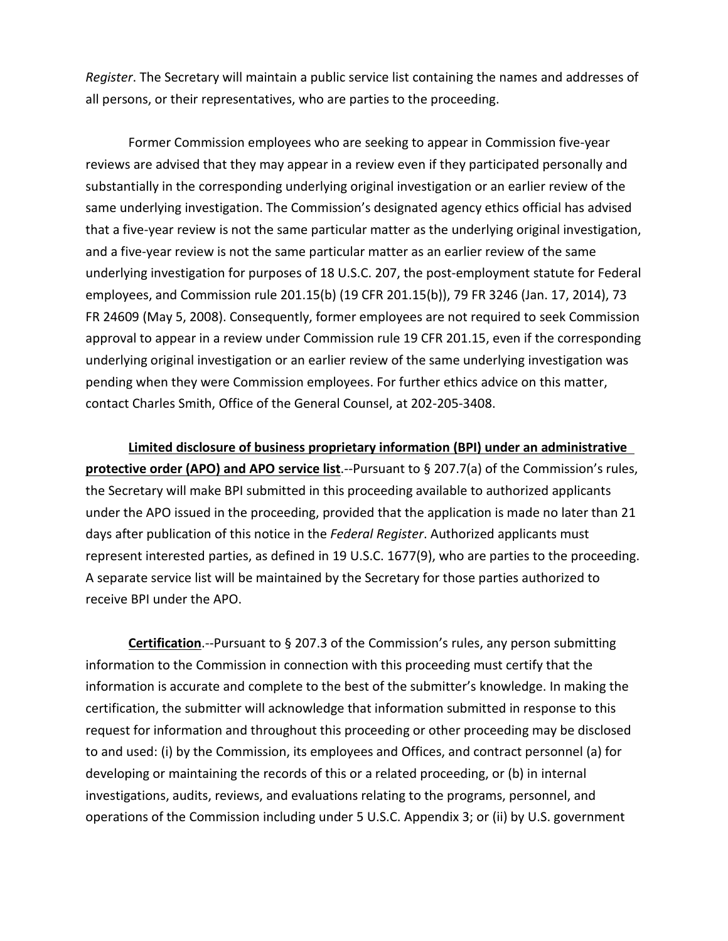*Register*. The Secretary will maintain a public service list containing the names and addresses of all persons, or their representatives, who are parties to the proceeding.

Former Commission employees who are seeking to appear in Commission five-year reviews are advised that they may appear in a review even if they participated personally and substantially in the corresponding underlying original investigation or an earlier review of the same underlying investigation. The Commission's designated agency ethics official has advised that a five-year review is not the same particular matter as the underlying original investigation, and a five-year review is not the same particular matter as an earlier review of the same underlying investigation for purposes of 18 U.S.C. 207, the post-employment statute for Federal employees, and Commission rule 201.15(b) (19 CFR 201.15(b)), 79 FR 3246 (Jan. 17, 2014), 73 FR 24609 (May 5, 2008). Consequently, former employees are not required to seek Commission approval to appear in a review under Commission rule 19 CFR 201.15, even if the corresponding underlying original investigation or an earlier review of the same underlying investigation was pending when they were Commission employees. For further ethics advice on this matter, contact Charles Smith, Office of the General Counsel, at 202-205-3408.

**Limited disclosure of business proprietary information (BPI) under an administrative protective order (APO) and APO service list**.--Pursuant to § 207.7(a) of the Commission's rules, the Secretary will make BPI submitted in this proceeding available to authorized applicants under the APO issued in the proceeding, provided that the application is made no later than 21 days after publication of this notice in the *Federal Register*. Authorized applicants must represent interested parties, as defined in 19 U.S.C. 1677(9), who are parties to the proceeding. A separate service list will be maintained by the Secretary for those parties authorized to receive BPI under the APO.

**Certification**.--Pursuant to § 207.3 of the Commission's rules, any person submitting information to the Commission in connection with this proceeding must certify that the information is accurate and complete to the best of the submitter's knowledge. In making the certification, the submitter will acknowledge that information submitted in response to this request for information and throughout this proceeding or other proceeding may be disclosed to and used: (i) by the Commission, its employees and Offices, and contract personnel (a) for developing or maintaining the records of this or a related proceeding, or (b) in internal investigations, audits, reviews, and evaluations relating to the programs, personnel, and operations of the Commission including under 5 U.S.C. Appendix 3; or (ii) by U.S. government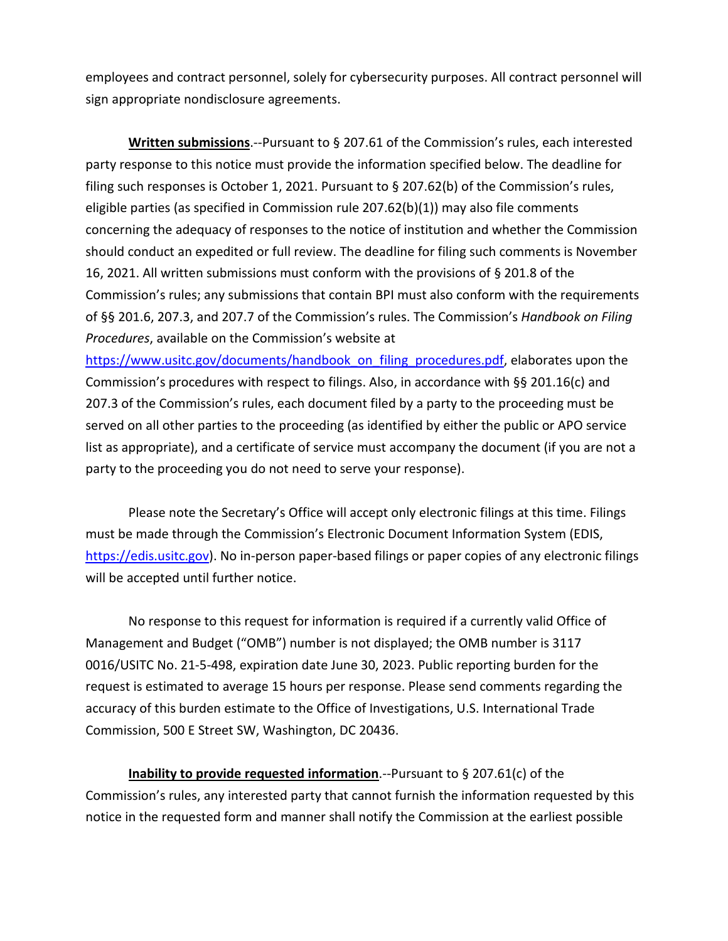employees and contract personnel, solely for cybersecurity purposes. All contract personnel will sign appropriate nondisclosure agreements.

**Written submissions**.--Pursuant to § 207.61 of the Commission's rules, each interested party response to this notice must provide the information specified below. The deadline for filing such responses is October 1, 2021. Pursuant to § 207.62(b) of the Commission's rules, eligible parties (as specified in Commission rule 207.62(b)(1)) may also file comments concerning the adequacy of responses to the notice of institution and whether the Commission should conduct an expedited or full review. The deadline for filing such comments is November 16, 2021. All written submissions must conform with the provisions of § 201.8 of the Commission's rules; any submissions that contain BPI must also conform with the requirements of §§ 201.6, 207.3, and 207.7 of the Commission's rules. The Commission's *Handbook on Filing Procedures*, available on the Commission's website at

[https://www.usitc.gov/documents/handbook\\_on\\_filing\\_procedures.pdf,](https://www.usitc.gov/documents/handbook_on_filing_procedures.pdf) elaborates upon the Commission's procedures with respect to filings. Also, in accordance with §§ 201.16(c) and 207.3 of the Commission's rules, each document filed by a party to the proceeding must be served on all other parties to the proceeding (as identified by either the public or APO service list as appropriate), and a certificate of service must accompany the document (if you are not a party to the proceeding you do not need to serve your response).

Please note the Secretary's Office will accept only electronic filings at this time. Filings must be made through the Commission's Electronic Document Information System (EDIS, [https://edis.usitc.gov\)](https://edis.usitc.gov/). No in-person paper-based filings or paper copies of any electronic filings will be accepted until further notice.

No response to this request for information is required if a currently valid Office of Management and Budget ("OMB") number is not displayed; the OMB number is 3117 0016/USITC No. 21-5-498, expiration date June 30, 2023. Public reporting burden for the request is estimated to average 15 hours per response. Please send comments regarding the accuracy of this burden estimate to the Office of Investigations, U.S. International Trade Commission, 500 E Street SW, Washington, DC 20436.

**Inability to provide requested information**.--Pursuant to § 207.61(c) of the Commission's rules, any interested party that cannot furnish the information requested by this notice in the requested form and manner shall notify the Commission at the earliest possible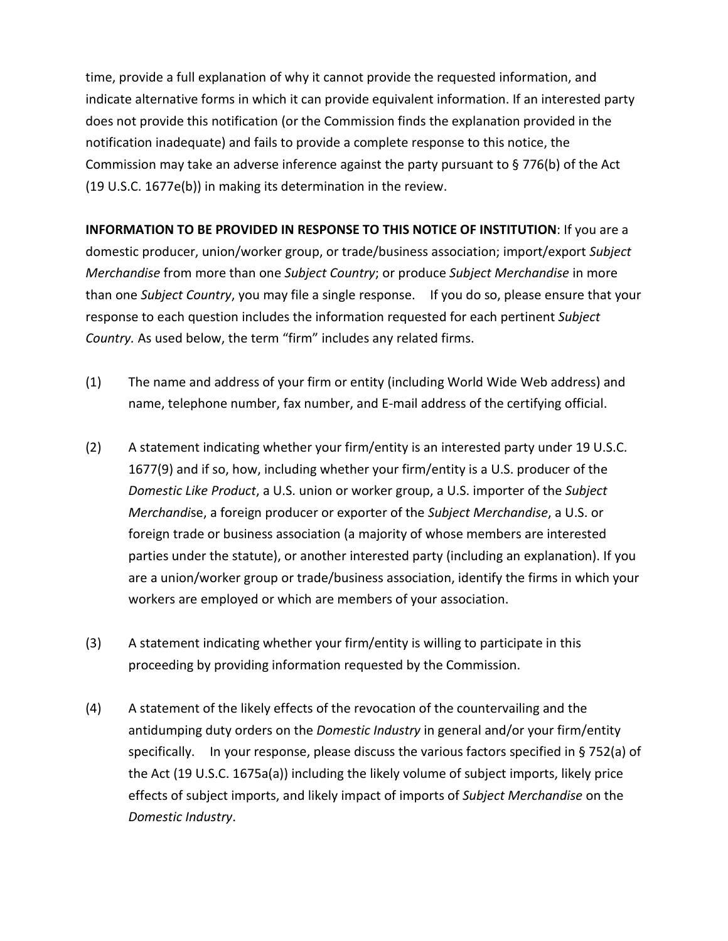time, provide a full explanation of why it cannot provide the requested information, and indicate alternative forms in which it can provide equivalent information. If an interested party does not provide this notification (or the Commission finds the explanation provided in the notification inadequate) and fails to provide a complete response to this notice, the Commission may take an adverse inference against the party pursuant to § 776(b) of the Act (19 U.S.C. 1677e(b)) in making its determination in the review.

**INFORMATION TO BE PROVIDED IN RESPONSE TO THIS NOTICE OF INSTITUTION**: If you are a domestic producer, union/worker group, or trade/business association; import/export *Subject Merchandise* from more than one *Subject Country*; or produce *Subject Merchandise* in more than one *Subject Country*, you may file a single response. If you do so, please ensure that your response to each question includes the information requested for each pertinent *Subject Country.* As used below, the term "firm" includes any related firms.

- (1) The name and address of your firm or entity (including World Wide Web address) and name, telephone number, fax number, and E-mail address of the certifying official.
- (2) A statement indicating whether your firm/entity is an interested party under 19 U.S.C. 1677(9) and if so, how, including whether your firm/entity is a U.S. producer of the *Domestic Like Product*, a U.S. union or worker group, a U.S. importer of the *Subject Merchandi*se, a foreign producer or exporter of the *Subject Merchandise*, a U.S. or foreign trade or business association (a majority of whose members are interested parties under the statute), or another interested party (including an explanation). If you are a union/worker group or trade/business association, identify the firms in which your workers are employed or which are members of your association.
- (3) A statement indicating whether your firm/entity is willing to participate in this proceeding by providing information requested by the Commission.
- (4) A statement of the likely effects of the revocation of the countervailing and the antidumping duty orders on the *Domestic Industry* in general and/or your firm/entity specifically. In your response, please discuss the various factors specified in § 752(a) of the Act (19 U.S.C. 1675a(a)) including the likely volume of subject imports, likely price effects of subject imports, and likely impact of imports of *Subject Merchandise* on the *Domestic Industry*.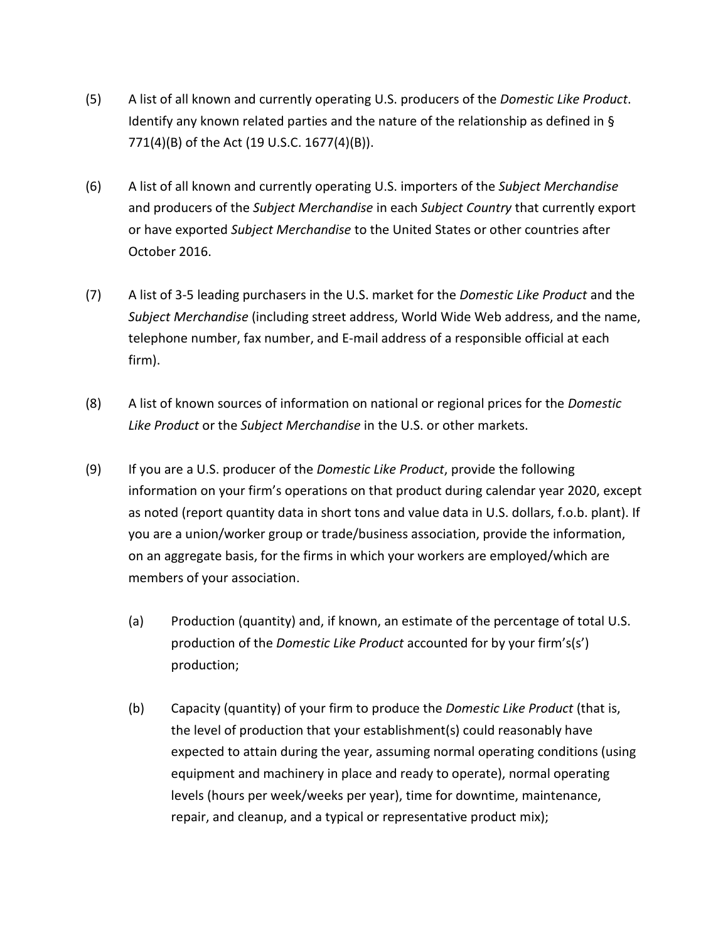- (5) A list of all known and currently operating U.S. producers of the *Domestic Like Product*. Identify any known related parties and the nature of the relationship as defined in § 771(4)(B) of the Act (19 U.S.C. 1677(4)(B)).
- (6) A list of all known and currently operating U.S. importers of the *Subject Merchandise* and producers of the *Subject Merchandise* in each *Subject Country* that currently export or have exported *Subject Merchandise* to the United States or other countries after October 2016.
- (7) A list of 3-5 leading purchasers in the U.S. market for the *Domestic Like Product* and the *Subject Merchandise* (including street address, World Wide Web address, and the name, telephone number, fax number, and E-mail address of a responsible official at each firm).
- (8) A list of known sources of information on national or regional prices for the *Domestic Like Product* or the *Subject Merchandise* in the U.S. or other markets.
- (9) If you are a U.S. producer of the *Domestic Like Product*, provide the following information on your firm's operations on that product during calendar year 2020, except as noted (report quantity data in short tons and value data in U.S. dollars, f.o.b. plant). If you are a union/worker group or trade/business association, provide the information, on an aggregate basis, for the firms in which your workers are employed/which are members of your association.
	- (a) Production (quantity) and, if known, an estimate of the percentage of total U.S. production of the *Domestic Like Product* accounted for by your firm's(s') production;
	- (b) Capacity (quantity) of your firm to produce the *Domestic Like Product* (that is, the level of production that your establishment(s) could reasonably have expected to attain during the year, assuming normal operating conditions (using equipment and machinery in place and ready to operate), normal operating levels (hours per week/weeks per year), time for downtime, maintenance, repair, and cleanup, and a typical or representative product mix);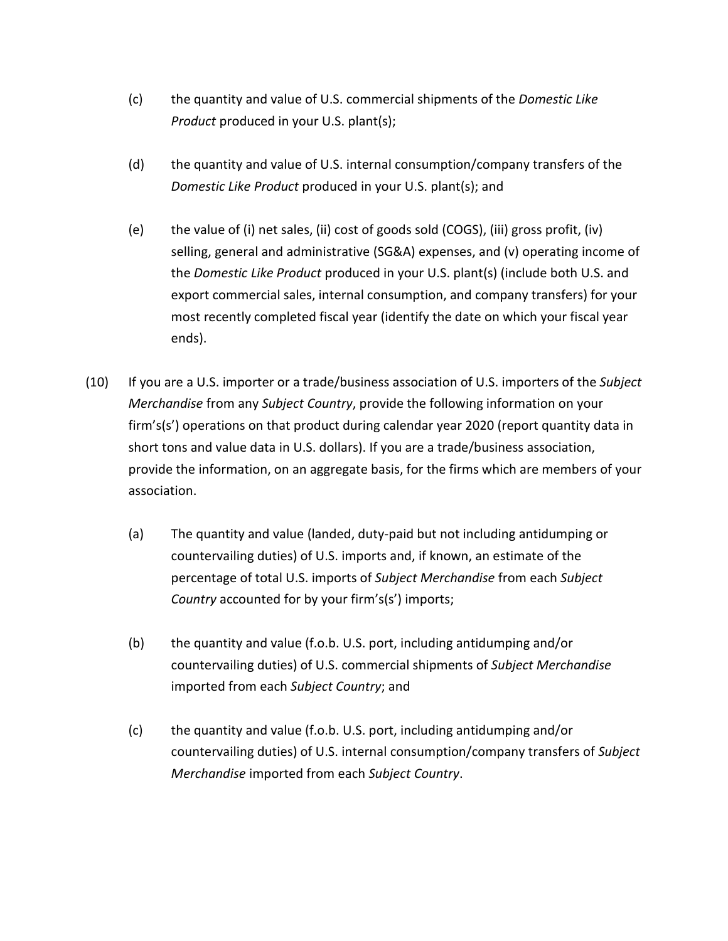- (c) the quantity and value of U.S. commercial shipments of the *Domestic Like Product* produced in your U.S. plant(s);
- (d) the quantity and value of U.S. internal consumption/company transfers of the *Domestic Like Product* produced in your U.S. plant(s); and
- (e) the value of (i) net sales, (ii) cost of goods sold (COGS), (iii) gross profit, (iv) selling, general and administrative (SG&A) expenses, and (v) operating income of the *Domestic Like Product* produced in your U.S. plant(s) (include both U.S. and export commercial sales, internal consumption, and company transfers) for your most recently completed fiscal year (identify the date on which your fiscal year ends).
- (10) If you are a U.S. importer or a trade/business association of U.S. importers of the *Subject Merchandise* from any *Subject Country*, provide the following information on your firm's(s') operations on that product during calendar year 2020 (report quantity data in short tons and value data in U.S. dollars). If you are a trade/business association, provide the information, on an aggregate basis, for the firms which are members of your association.
	- (a) The quantity and value (landed, duty-paid but not including antidumping or countervailing duties) of U.S. imports and, if known, an estimate of the percentage of total U.S. imports of *Subject Merchandise* from each *Subject Country* accounted for by your firm's(s') imports;
	- (b) the quantity and value (f.o.b. U.S. port, including antidumping and/or countervailing duties) of U.S. commercial shipments of *Subject Merchandise* imported from each *Subject Country*; and
	- (c) the quantity and value (f.o.b. U.S. port, including antidumping and/or countervailing duties) of U.S. internal consumption/company transfers of *Subject Merchandise* imported from each *Subject Country*.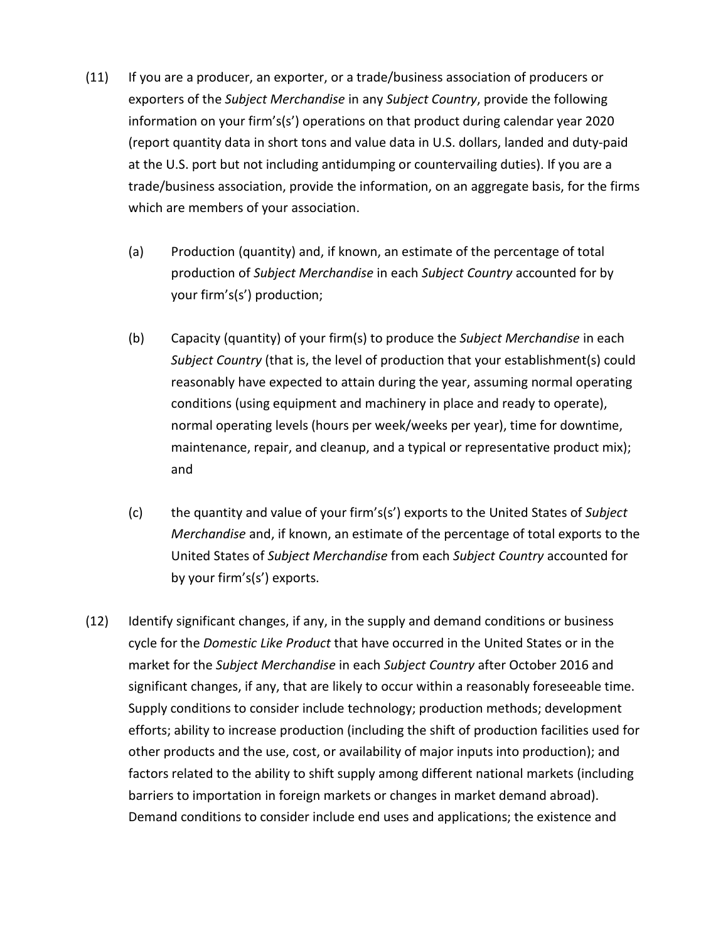- (11) If you are a producer, an exporter, or a trade/business association of producers or exporters of the *Subject Merchandise* in any *Subject Country*, provide the following information on your firm's(s') operations on that product during calendar year 2020 (report quantity data in short tons and value data in U.S. dollars, landed and duty-paid at the U.S. port but not including antidumping or countervailing duties). If you are a trade/business association, provide the information, on an aggregate basis, for the firms which are members of your association.
	- (a) Production (quantity) and, if known, an estimate of the percentage of total production of *Subject Merchandise* in each *Subject Country* accounted for by your firm's(s') production;
	- (b) Capacity (quantity) of your firm(s) to produce the *Subject Merchandise* in each *Subject Country* (that is, the level of production that your establishment(s) could reasonably have expected to attain during the year, assuming normal operating conditions (using equipment and machinery in place and ready to operate), normal operating levels (hours per week/weeks per year), time for downtime, maintenance, repair, and cleanup, and a typical or representative product mix); and
	- (c) the quantity and value of your firm's(s') exports to the United States of *Subject Merchandise* and, if known, an estimate of the percentage of total exports to the United States of *Subject Merchandise* from each *Subject Country* accounted for by your firm's(s') exports.
- (12) Identify significant changes, if any, in the supply and demand conditions or business cycle for the *Domestic Like Product* that have occurred in the United States or in the market for the *Subject Merchandise* in each *Subject Country* after October 2016 and significant changes, if any, that are likely to occur within a reasonably foreseeable time. Supply conditions to consider include technology; production methods; development efforts; ability to increase production (including the shift of production facilities used for other products and the use, cost, or availability of major inputs into production); and factors related to the ability to shift supply among different national markets (including barriers to importation in foreign markets or changes in market demand abroad). Demand conditions to consider include end uses and applications; the existence and